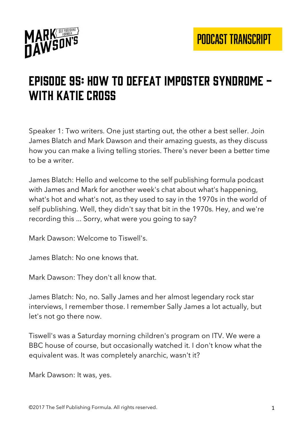

# Episode 95: how to defeat imposter syndrome - WITH KATIE CROSS

Speaker 1: Two writers. One just starting out, the other a best seller. Join James Blatch and Mark Dawson and their amazing guests, as they discuss how you can make a living telling stories. There's never been a better time to be a writer.

James Blatch: Hello and welcome to the self publishing formula podcast with James and Mark for another week's chat about what's happening, what's hot and what's not, as they used to say in the 1970s in the world of self publishing. Well, they didn't say that bit in the 1970s. Hey, and we're recording this ... Sorry, what were you going to say?

Mark Dawson: Welcome to Tiswell's.

James Blatch: No one knows that.

Mark Dawson: They don't all know that.

James Blatch: No, no. Sally James and her almost legendary rock star interviews, I remember those. I remember Sally James a lot actually, but let's not go there now.

Tiswell's was a Saturday morning children's program on ITV. We were a BBC house of course, but occasionally watched it. I don't know what the equivalent was. It was completely anarchic, wasn't it?

Mark Dawson: It was, yes.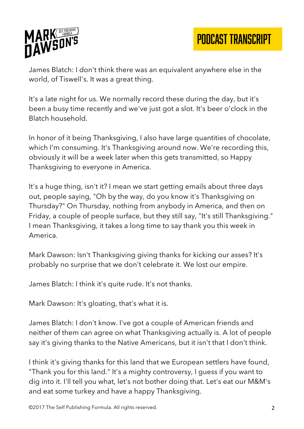

PODCAST TRANSCRIPT

James Blatch: I don't think there was an equivalent anywhere else in the world, of Tiswell's. It was a great thing.

It's a late night for us. We normally record these during the day, but it's been a busy time recently and we've just got a slot. It's beer o'clock in the Blatch household.

In honor of it being Thanksgiving, I also have large quantities of chocolate, which I'm consuming. It's Thanksgiving around now. We're recording this, obviously it will be a week later when this gets transmitted, so Happy Thanksgiving to everyone in America.

It's a huge thing, isn't it? I mean we start getting emails about three days out, people saying, "Oh by the way, do you know it's Thanksgiving on Thursday?" On Thursday, nothing from anybody in America, and then on Friday, a couple of people surface, but they still say, "It's still Thanksgiving." I mean Thanksgiving, it takes a long time to say thank you this week in America.

Mark Dawson: Isn't Thanksgiving giving thanks for kicking our asses? It's probably no surprise that we don't celebrate it. We lost our empire.

James Blatch: I think it's quite rude. It's not thanks.

Mark Dawson: It's gloating, that's what it is.

James Blatch: I don't know. I've got a couple of American friends and neither of them can agree on what Thanksgiving actually is. A lot of people say it's giving thanks to the Native Americans, but it isn't that I don't think.

I think it's giving thanks for this land that we European settlers have found, "Thank you for this land." It's a mighty controversy, I guess if you want to dig into it. I'll tell you what, let's not bother doing that. Let's eat our M&M's and eat some turkey and have a happy Thanksgiving.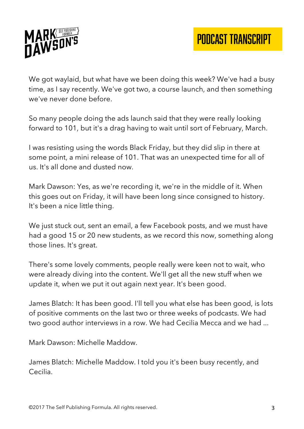

We got waylaid, but what have we been doing this week? We've had a busy time, as I say recently. We've got two, a course launch, and then something we've never done before.

So many people doing the ads launch said that they were really looking forward to 101, but it's a drag having to wait until sort of February, March.

I was resisting using the words Black Friday, but they did slip in there at some point, a mini release of 101. That was an unexpected time for all of us. It's all done and dusted now.

Mark Dawson: Yes, as we're recording it, we're in the middle of it. When this goes out on Friday, it will have been long since consigned to history. It's been a nice little thing.

We just stuck out, sent an email, a few Facebook posts, and we must have had a good 15 or 20 new students, as we record this now, something along those lines. It's great.

There's some lovely comments, people really were keen not to wait, who were already diving into the content. We'll get all the new stuff when we update it, when we put it out again next year. It's been good.

James Blatch: It has been good. I'll tell you what else has been good, is lots of positive comments on the last two or three weeks of podcasts. We had two good author interviews in a row. We had Cecilia Mecca and we had ...

Mark Dawson: Michelle Maddow.

James Blatch: Michelle Maddow. I told you it's been busy recently, and Cecilia.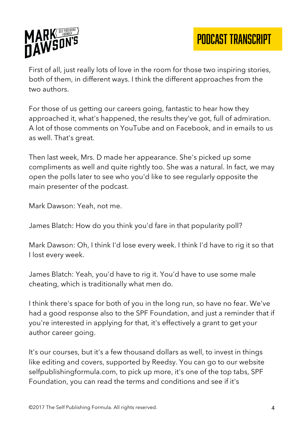

First of all, just really lots of love in the room for those two inspiring stories, both of them, in different ways. I think the different approaches from the two authors.

For those of us getting our careers going, fantastic to hear how they approached it, what's happened, the results they've got, full of admiration. A lot of those comments on YouTube and on Facebook, and in emails to us as well. That's great.

Then last week, Mrs. D made her appearance. She's picked up some compliments as well and quite rightly too. She was a natural. In fact, we may open the polls later to see who you'd like to see regularly opposite the main presenter of the podcast.

Mark Dawson: Yeah, not me.

James Blatch: How do you think you'd fare in that popularity poll?

Mark Dawson: Oh, I think I'd lose every week. I think I'd have to rig it so that I lost every week.

James Blatch: Yeah, you'd have to rig it. You'd have to use some male cheating, which is traditionally what men do.

I think there's space for both of you in the long run, so have no fear. We've had a good response also to the SPF Foundation, and just a reminder that if you're interested in applying for that, it's effectively a grant to get your author career going.

It's our courses, but it's a few thousand dollars as well, to invest in things like editing and covers, supported by Reedsy. You can go to our website selfpublishingformula.com, to pick up more, it's one of the top tabs, SPF Foundation, you can read the terms and conditions and see if it's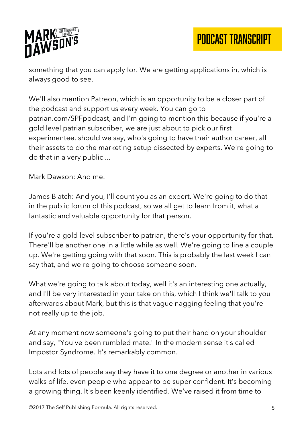

PODCAST TRANSCRIPT

something that you can apply for. We are getting applications in, which is always good to see.

We'll also mention Patreon, which is an opportunity to be a closer part of the podcast and support us every week. You can go to patrian.com/SPFpodcast, and I'm going to mention this because if you're a gold level patrian subscriber, we are just about to pick our first experimentee, should we say, who's going to have their author career, all their assets to do the marketing setup dissected by experts. We're going to do that in a very public ...

Mark Dawson: And me.

James Blatch: And you, I'll count you as an expert. We're going to do that in the public forum of this podcast, so we all get to learn from it, what a fantastic and valuable opportunity for that person.

If you're a gold level subscriber to patrian, there's your opportunity for that. There'll be another one in a little while as well. We're going to line a couple up. We're getting going with that soon. This is probably the last week I can say that, and we're going to choose someone soon.

What we're going to talk about today, well it's an interesting one actually, and I'll be very interested in your take on this, which I think we'll talk to you afterwards about Mark, but this is that vague nagging feeling that you're not really up to the job.

At any moment now someone's going to put their hand on your shoulder and say, "You've been rumbled mate." In the modern sense it's called Impostor Syndrome. It's remarkably common.

Lots and lots of people say they have it to one degree or another in various walks of life, even people who appear to be super confident. It's becoming a growing thing. It's been keenly identified. We've raised it from time to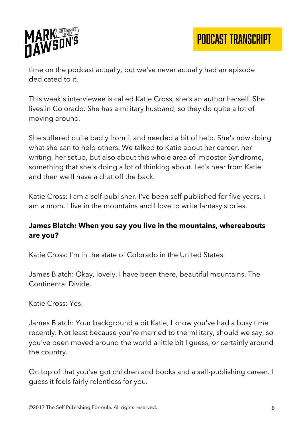

time on the podcast actually, but we've never actually had an episode dedicated to it.

This week's interviewee is called Katie Cross, she's an author herself. She lives in Colorado. She has a military husband, so they do quite a lot of moving around.

She suffered quite badly from it and needed a bit of help. She's now doing what she can to help others. We talked to Katie about her career, her writing, her setup, but also about this whole area of Impostor Syndrome, something that she's doing a lot of thinking about. Let's hear from Katie and then we'll have a chat off the back.

Katie Cross: I am a self-publisher. I've been self-published for five years. I am a mom. I live in the mountains and I love to write fantasy stories.

## **James Blatch: When you say you live in the mountains, whereabouts are you?**

Katie Cross: I'm in the state of Colorado in the United States.

James Blatch: Okay, lovely. I have been there, beautiful mountains. The Continental Divide.

Katie Cross: Yes.

James Blatch: Your background a bit Katie, I know you've had a busy time recently. Not least because you're married to the military, should we say, so you've been moved around the world a little bit I guess, or certainly around the country.

On top of that you've got children and books and a self-publishing career. I guess it feels fairly relentless for you.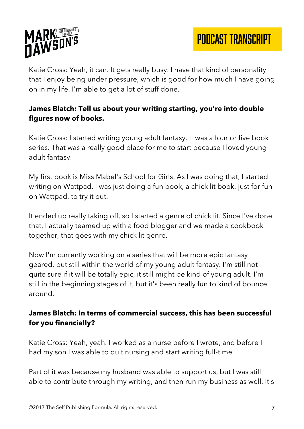



Katie Cross: Yeah, it can. It gets really busy. I have that kind of personality that I enjoy being under pressure, which is good for how much I have going on in my life. I'm able to get a lot of stuff done.

#### **James Blatch: Tell us about your writing starting, you're into double figures now of books.**

Katie Cross: I started writing young adult fantasy. It was a four or five book series. That was a really good place for me to start because I loved young adult fantasy.

My first book is Miss Mabel's School for Girls. As I was doing that, I started writing on Wattpad. I was just doing a fun book, a chick lit book, just for fun on Wattpad, to try it out.

It ended up really taking off, so I started a genre of chick lit. Since I've done that, I actually teamed up with a food blogger and we made a cookbook together, that goes with my chick lit genre.

Now I'm currently working on a series that will be more epic fantasy geared, but still within the world of my young adult fantasy. I'm still not quite sure if it will be totally epic, it still might be kind of young adult. I'm still in the beginning stages of it, but it's been really fun to kind of bounce around.

### **James Blatch: In terms of commercial success, this has been successful for you financially?**

Katie Cross: Yeah, yeah. I worked as a nurse before I wrote, and before I had my son I was able to quit nursing and start writing full-time.

Part of it was because my husband was able to support us, but I was still able to contribute through my writing, and then run my business as well. It's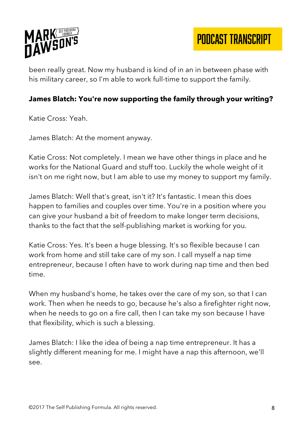

PODCAST TRANSCRIPT

been really great. Now my husband is kind of in an in between phase with his military career, so I'm able to work full-time to support the family.

#### **James Blatch: You're now supporting the family through your writing?**

Katie Cross: Yeah.

James Blatch: At the moment anyway.

Katie Cross: Not completely. I mean we have other things in place and he works for the National Guard and stuff too. Luckily the whole weight of it isn't on me right now, but I am able to use my money to support my family.

James Blatch: Well that's great, isn't it? It's fantastic. I mean this does happen to families and couples over time. You're in a position where you can give your husband a bit of freedom to make longer term decisions, thanks to the fact that the self-publishing market is working for you.

Katie Cross: Yes. It's been a huge blessing. It's so flexible because I can work from home and still take care of my son. I call myself a nap time entrepreneur, because I often have to work during nap time and then bed time.

When my husband's home, he takes over the care of my son, so that I can work. Then when he needs to go, because he's also a firefighter right now, when he needs to go on a fire call, then I can take my son because I have that flexibility, which is such a blessing.

James Blatch: I like the idea of being a nap time entrepreneur. It has a slightly different meaning for me. I might have a nap this afternoon, we'll see.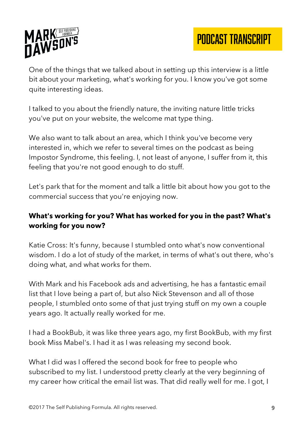

One of the things that we talked about in setting up this interview is a little bit about your marketing, what's working for you. I know you've got some quite interesting ideas.

I talked to you about the friendly nature, the inviting nature little tricks you've put on your website, the welcome mat type thing.

We also want to talk about an area, which I think you've become very interested in, which we refer to several times on the podcast as being Impostor Syndrome, this feeling. I, not least of anyone, I suffer from it, this feeling that you're not good enough to do stuff.

Let's park that for the moment and talk a little bit about how you got to the commercial success that you're enjoying now.

## **What's working for you? What has worked for you in the past? What's working for you now?**

Katie Cross: It's funny, because I stumbled onto what's now conventional wisdom. I do a lot of study of the market, in terms of what's out there, who's doing what, and what works for them.

With Mark and his Facebook ads and advertising, he has a fantastic email list that I love being a part of, but also Nick Stevenson and all of those people, I stumbled onto some of that just trying stuff on my own a couple years ago. It actually really worked for me.

I had a BookBub, it was like three years ago, my first BookBub, with my first book Miss Mabel's. I had it as I was releasing my second book.

What I did was I offered the second book for free to people who subscribed to my list. I understood pretty clearly at the very beginning of my career how critical the email list was. That did really well for me. I got, I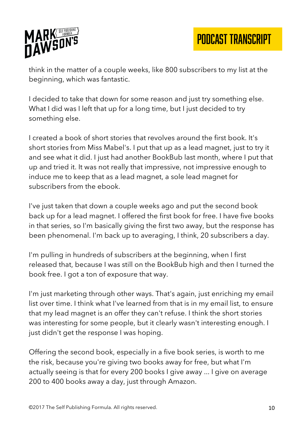

PODCAST TRANSCRIPT

think in the matter of a couple weeks, like 800 subscribers to my list at the beginning, which was fantastic.

I decided to take that down for some reason and just try something else. What I did was I left that up for a long time, but I just decided to try something else.

I created a book of short stories that revolves around the first book. It's short stories from Miss Mabel's. I put that up as a lead magnet, just to try it and see what it did. I just had another BookBub last month, where I put that up and tried it. It was not really that impressive, not impressive enough to induce me to keep that as a lead magnet, a sole lead magnet for subscribers from the ebook.

I've just taken that down a couple weeks ago and put the second book back up for a lead magnet. I offered the first book for free. I have five books in that series, so I'm basically giving the first two away, but the response has been phenomenal. I'm back up to averaging, I think, 20 subscribers a day.

I'm pulling in hundreds of subscribers at the beginning, when I first released that, because I was still on the BookBub high and then I turned the book free. I got a ton of exposure that way.

I'm just marketing through other ways. That's again, just enriching my email list over time. I think what I've learned from that is in my email list, to ensure that my lead magnet is an offer they can't refuse. I think the short stories was interesting for some people, but it clearly wasn't interesting enough. I just didn't get the response I was hoping.

Offering the second book, especially in a five book series, is worth to me the risk, because you're giving two books away for free, but what I'm actually seeing is that for every 200 books I give away ... I give on average 200 to 400 books away a day, just through Amazon.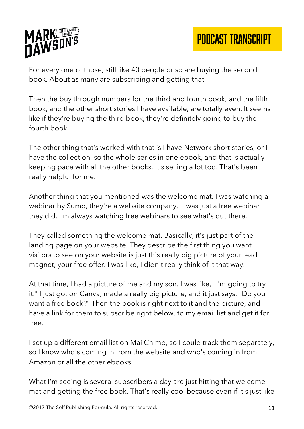

For every one of those, still like 40 people or so are buying the second book. About as many are subscribing and getting that.

Then the buy through numbers for the third and fourth book, and the fifth book, and the other short stories I have available, are totally even. It seems like if they're buying the third book, they're definitely going to buy the fourth book.

The other thing that's worked with that is I have Network short stories, or I have the collection, so the whole series in one ebook, and that is actually keeping pace with all the other books. It's selling a lot too. That's been really helpful for me.

Another thing that you mentioned was the welcome mat. I was watching a webinar by Sumo, they're a website company, it was just a free webinar they did. I'm always watching free webinars to see what's out there.

They called something the welcome mat. Basically, it's just part of the landing page on your website. They describe the first thing you want visitors to see on your website is just this really big picture of your lead magnet, your free offer. I was like, I didn't really think of it that way.

At that time, I had a picture of me and my son. I was like, "I'm going to try it." I just got on Canva, made a really big picture, and it just says, "Do you want a free book?" Then the book is right next to it and the picture, and I have a link for them to subscribe right below, to my email list and get it for free.

I set up a different email list on MailChimp, so I could track them separately, so I know who's coming in from the website and who's coming in from Amazon or all the other ebooks.

What I'm seeing is several subscribers a day are just hitting that welcome mat and getting the free book. That's really cool because even if it's just like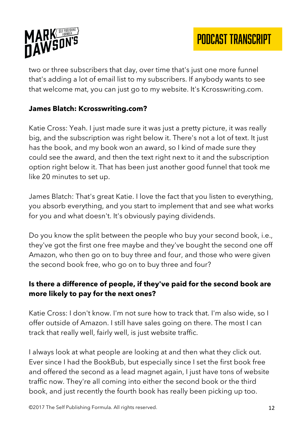

two or three subscribers that day, over time that's just one more funnel that's adding a lot of email list to my subscribers. If anybody wants to see that welcome mat, you can just go to my website. It's Kcrosswriting.com.

#### **James Blatch: Kcrosswriting.com?**

Katie Cross: Yeah. I just made sure it was just a pretty picture, it was really big, and the subscription was right below it. There's not a lot of text. It just has the book, and my book won an award, so I kind of made sure they could see the award, and then the text right next to it and the subscription option right below it. That has been just another good funnel that took me like 20 minutes to set up.

James Blatch: That's great Katie. I love the fact that you listen to everything, you absorb everything, and you start to implement that and see what works for you and what doesn't. It's obviously paying dividends.

Do you know the split between the people who buy your second book, i.e., they've got the first one free maybe and they've bought the second one off Amazon, who then go on to buy three and four, and those who were given the second book free, who go on to buy three and four?

## **Is there a difference of people, if they've paid for the second book are more likely to pay for the next ones?**

Katie Cross: I don't know. I'm not sure how to track that. I'm also wide, so I offer outside of Amazon. I still have sales going on there. The most I can track that really well, fairly well, is just website traffic.

I always look at what people are looking at and then what they click out. Ever since I had the BookBub, but especially since I set the first book free and offered the second as a lead magnet again, I just have tons of website traffic now. They're all coming into either the second book or the third book, and just recently the fourth book has really been picking up too.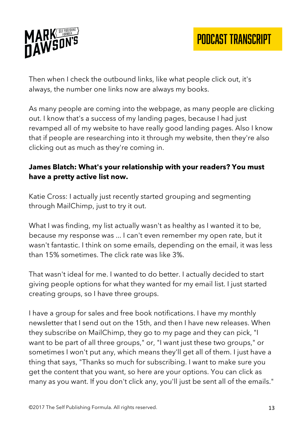

Then when I check the outbound links, like what people click out, it's always, the number one links now are always my books.

As many people are coming into the webpage, as many people are clicking out. I know that's a success of my landing pages, because I had just revamped all of my website to have really good landing pages. Also I know that if people are researching into it through my website, then they're also clicking out as much as they're coming in.

## **James Blatch: What's your relationship with your readers? You must have a pretty active list now.**

Katie Cross: I actually just recently started grouping and segmenting through MailChimp, just to try it out.

What I was finding, my list actually wasn't as healthy as I wanted it to be, because my response was ... I can't even remember my open rate, but it wasn't fantastic. I think on some emails, depending on the email, it was less than 15% sometimes. The click rate was like 3%.

That wasn't ideal for me. I wanted to do better. I actually decided to start giving people options for what they wanted for my email list. I just started creating groups, so I have three groups.

I have a group for sales and free book notifications. I have my monthly newsletter that I send out on the 15th, and then I have new releases. When they subscribe on MailChimp, they go to my page and they can pick, "I want to be part of all three groups," or, "I want just these two groups," or sometimes I won't put any, which means they'll get all of them. I just have a thing that says, "Thanks so much for subscribing. I want to make sure you get the content that you want, so here are your options. You can click as many as you want. If you don't click any, you'll just be sent all of the emails."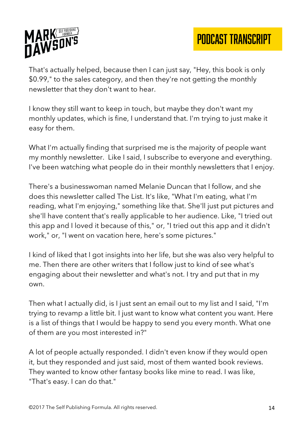



That's actually helped, because then I can just say, "Hey, this book is only \$0.99," to the sales category, and then they're not getting the monthly newsletter that they don't want to hear.

I know they still want to keep in touch, but maybe they don't want my monthly updates, which is fine, I understand that. I'm trying to just make it easy for them.

What I'm actually finding that surprised me is the majority of people want my monthly newsletter. Like I said, I subscribe to everyone and everything. I've been watching what people do in their monthly newsletters that I enjoy.

There's a businesswoman named Melanie Duncan that I follow, and she does this newsletter called The List. It's like, "What I'm eating, what I'm reading, what I'm enjoying," something like that. She'll just put pictures and she'll have content that's really applicable to her audience. Like, "I tried out this app and I loved it because of this," or, "I tried out this app and it didn't work," or, "I went on vacation here, here's some pictures."

I kind of liked that I got insights into her life, but she was also very helpful to me. Then there are other writers that I follow just to kind of see what's engaging about their newsletter and what's not. I try and put that in my own.

Then what I actually did, is I just sent an email out to my list and I said, "I'm trying to revamp a little bit. I just want to know what content you want. Here is a list of things that I would be happy to send you every month. What one of them are you most interested in?"

A lot of people actually responded. I didn't even know if they would open it, but they responded and just said, most of them wanted book reviews. They wanted to know other fantasy books like mine to read. I was like, "That's easy. I can do that."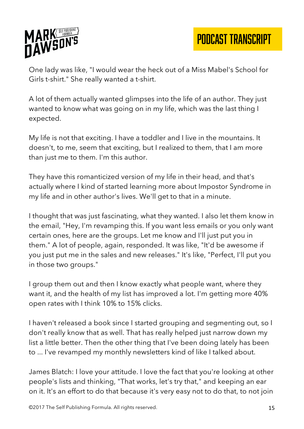



One lady was like, "I would wear the heck out of a Miss Mabel's School for Girls t-shirt." She really wanted a t-shirt.

A lot of them actually wanted glimpses into the life of an author. They just wanted to know what was going on in my life, which was the last thing I expected.

My life is not that exciting. I have a toddler and I live in the mountains. It doesn't, to me, seem that exciting, but I realized to them, that I am more than just me to them. I'm this author.

They have this romanticized version of my life in their head, and that's actually where I kind of started learning more about Impostor Syndrome in my life and in other author's lives. We'll get to that in a minute.

I thought that was just fascinating, what they wanted. I also let them know in the email, "Hey, I'm revamping this. If you want less emails or you only want certain ones, here are the groups. Let me know and I'll just put you in them." A lot of people, again, responded. It was like, "It'd be awesome if you just put me in the sales and new releases." It's like, "Perfect, I'll put you in those two groups."

I group them out and then I know exactly what people want, where they want it, and the health of my list has improved a lot. I'm getting more 40% open rates with I think 10% to 15% clicks.

I haven't released a book since I started grouping and segmenting out, so I don't really know that as well. That has really helped just narrow down my list a little better. Then the other thing that I've been doing lately has been to ... I've revamped my monthly newsletters kind of like I talked about.

James Blatch: I love your attitude. I love the fact that you're looking at other people's lists and thinking, "That works, let's try that," and keeping an ear on it. It's an effort to do that because it's very easy not to do that, to not join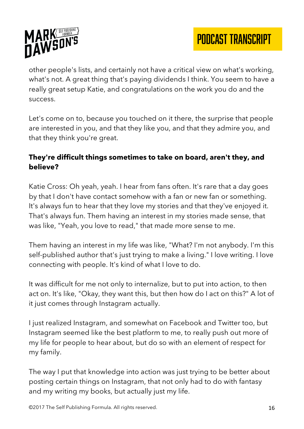

other people's lists, and certainly not have a critical view on what's working, what's not. A great thing that's paying dividends I think. You seem to have a really great setup Katie, and congratulations on the work you do and the success.

Let's come on to, because you touched on it there, the surprise that people are interested in you, and that they like you, and that they admire you, and that they think you're great.

# **They're difficult things sometimes to take on board, aren't they, and believe?**

Katie Cross: Oh yeah, yeah. I hear from fans often. It's rare that a day goes by that I don't have contact somehow with a fan or new fan or something. It's always fun to hear that they love my stories and that they've enjoyed it. That's always fun. Them having an interest in my stories made sense, that was like, "Yeah, you love to read," that made more sense to me.

Them having an interest in my life was like, "What? I'm not anybody. I'm this self-published author that's just trying to make a living." I love writing. I love connecting with people. It's kind of what I love to do.

It was difficult for me not only to internalize, but to put into action, to then act on. It's like, "Okay, they want this, but then how do I act on this?" A lot of it just comes through Instagram actually.

I just realized Instagram, and somewhat on Facebook and Twitter too, but Instagram seemed like the best platform to me, to really push out more of my life for people to hear about, but do so with an element of respect for my family.

The way I put that knowledge into action was just trying to be better about posting certain things on Instagram, that not only had to do with fantasy and my writing my books, but actually just my life.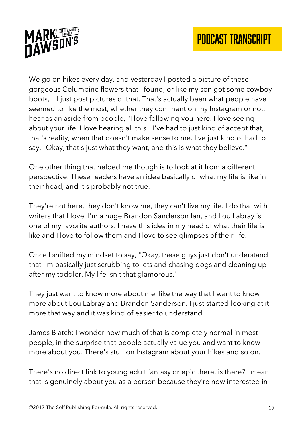

We go on hikes every day, and yesterday I posted a picture of these gorgeous Columbine flowers that I found, or like my son got some cowboy boots, I'll just post pictures of that. That's actually been what people have seemed to like the most, whether they comment on my Instagram or not, I hear as an aside from people, "I love following you here. I love seeing about your life. I love hearing all this." I've had to just kind of accept that, that's reality, when that doesn't make sense to me. I've just kind of had to say, "Okay, that's just what they want, and this is what they believe."

One other thing that helped me though is to look at it from a different perspective. These readers have an idea basically of what my life is like in their head, and it's probably not true.

They're not here, they don't know me, they can't live my life. I do that with writers that I love. I'm a huge Brandon Sanderson fan, and Lou Labray is one of my favorite authors. I have this idea in my head of what their life is like and I love to follow them and I love to see glimpses of their life.

Once I shifted my mindset to say, "Okay, these guys just don't understand that I'm basically just scrubbing toilets and chasing dogs and cleaning up after my toddler. My life isn't that glamorous."

They just want to know more about me, like the way that I want to know more about Lou Labray and Brandon Sanderson. I just started looking at it more that way and it was kind of easier to understand.

James Blatch: I wonder how much of that is completely normal in most people, in the surprise that people actually value you and want to know more about you. There's stuff on Instagram about your hikes and so on.

There's no direct link to young adult fantasy or epic there, is there? I mean that is genuinely about you as a person because they're now interested in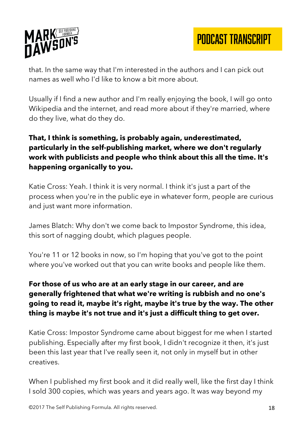

that. In the same way that I'm interested in the authors and I can pick out names as well who I'd like to know a bit more about.

Usually if I find a new author and I'm really enjoying the book, I will go onto Wikipedia and the internet, and read more about if they're married, where do they live, what do they do.

# **That, I think is something, is probably again, underestimated, particularly in the self-publishing market, where we don't regularly work with publicists and people who think about this all the time. It's happening organically to you.**

Katie Cross: Yeah. I think it is very normal. I think it's just a part of the process when you're in the public eye in whatever form, people are curious and just want more information.

James Blatch: Why don't we come back to Impostor Syndrome, this idea, this sort of nagging doubt, which plagues people.

You're 11 or 12 books in now, so I'm hoping that you've got to the point where you've worked out that you can write books and people like them.

# **For those of us who are at an early stage in our career, and are generally frightened that what we're writing is rubbish and no one's going to read it, maybe it's right, maybe it's true by the way. The other thing is maybe it's not true and it's just a difficult thing to get over.**

Katie Cross: Impostor Syndrome came about biggest for me when I started publishing. Especially after my first book, I didn't recognize it then, it's just been this last year that I've really seen it, not only in myself but in other creatives.

When I published my first book and it did really well, like the first day I think I sold 300 copies, which was years and years ago. It was way beyond my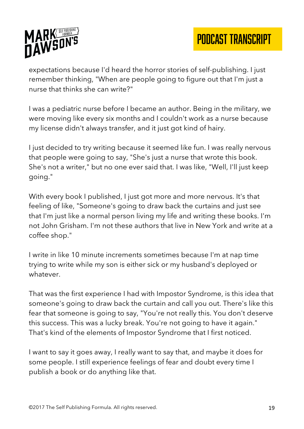

expectations because I'd heard the horror stories of self-publishing. I just remember thinking, "When are people going to figure out that I'm just a nurse that thinks she can write?"

I was a pediatric nurse before I became an author. Being in the military, we were moving like every six months and I couldn't work as a nurse because my license didn't always transfer, and it just got kind of hairy.

I just decided to try writing because it seemed like fun. I was really nervous that people were going to say, "She's just a nurse that wrote this book. She's not a writer," but no one ever said that. I was like, "Well, I'll just keep going."

With every book I published, I just got more and more nervous. It's that feeling of like, "Someone's going to draw back the curtains and just see that I'm just like a normal person living my life and writing these books. I'm not John Grisham. I'm not these authors that live in New York and write at a coffee shop."

I write in like 10 minute increments sometimes because I'm at nap time trying to write while my son is either sick or my husband's deployed or whatever.

That was the first experience I had with Impostor Syndrome, is this idea that someone's going to draw back the curtain and call you out. There's like this fear that someone is going to say, "You're not really this. You don't deserve this success. This was a lucky break. You're not going to have it again." That's kind of the elements of Impostor Syndrome that I first noticed.

I want to say it goes away, I really want to say that, and maybe it does for some people. I still experience feelings of fear and doubt every time I publish a book or do anything like that.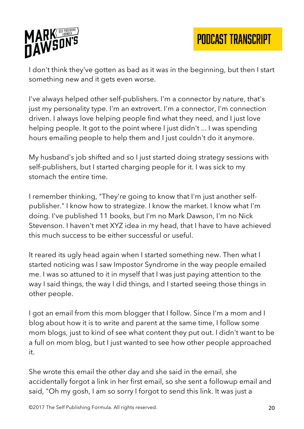



I don't think they've gotten as bad as it was in the beginning, but then I start something new and it gets even worse.

I've always helped other self-publishers. I'm a connector by nature, that's just my personality type. I'm an extrovert. I'm a connector, I'm connection driven. I always love helping people find what they need, and I just love helping people. It got to the point where I just didn't ... I was spending hours emailing people to help them and I just couldn't do it anymore.

My husband's job shifted and so I just started doing strategy sessions with self-publishers, but I started charging people for it. I was sick to my stomach the entire time.

I remember thinking, "They're going to know that I'm just another selfpublisher." I know how to strategize. I know the market. I know what I'm doing. I've published 11 books, but I'm no Mark Dawson, I'm no Nick Stevenson. I haven't met XYZ idea in my head, that I have to have achieved this much success to be either successful or useful.

It reared its ugly head again when I started something new. Then what I started noticing was I saw Impostor Syndrome in the way people emailed me. I was so attuned to it in myself that I was just paying attention to the way I said things, the way I did things, and I started seeing those things in other people.

I got an email from this mom blogger that I follow. Since I'm a mom and I blog about how it is to write and parent at the same time, I follow some mom blogs, just to kind of see what content they put out. I didn't want to be a full on mom blog, but I just wanted to see how other people approached it.

She wrote this email the other day and she said in the email, she accidentally forgot a link in her first email, so she sent a followup email and said, "Oh my gosh, I am so sorry I forgot to send this link. It was just a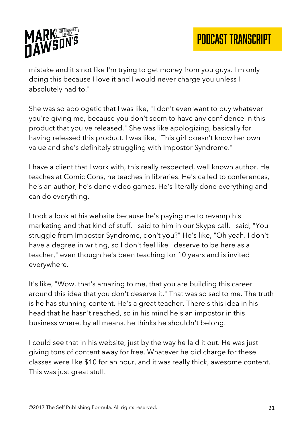

mistake and it's not like I'm trying to get money from you guys. I'm only doing this because I love it and I would never charge you unless I absolutely had to."

She was so apologetic that I was like, "I don't even want to buy whatever you're giving me, because you don't seem to have any confidence in this product that you've released." She was like apologizing, basically for having released this product. I was like, "This girl doesn't know her own value and she's definitely struggling with Impostor Syndrome."

I have a client that I work with, this really respected, well known author. He teaches at Comic Cons, he teaches in libraries. He's called to conferences, he's an author, he's done video games. He's literally done everything and can do everything.

I took a look at his website because he's paying me to revamp his marketing and that kind of stuff. I said to him in our Skype call, I said, "You struggle from Impostor Syndrome, don't you?" He's like, "Oh yeah. I don't have a degree in writing, so I don't feel like I deserve to be here as a teacher," even though he's been teaching for 10 years and is invited everywhere.

It's like, "Wow, that's amazing to me, that you are building this career around this idea that you don't deserve it." That was so sad to me. The truth is he has stunning content. He's a great teacher. There's this idea in his head that he hasn't reached, so in his mind he's an impostor in this business where, by all means, he thinks he shouldn't belong.

I could see that in his website, just by the way he laid it out. He was just giving tons of content away for free. Whatever he did charge for these classes were like \$10 for an hour, and it was really thick, awesome content. This was just great stuff.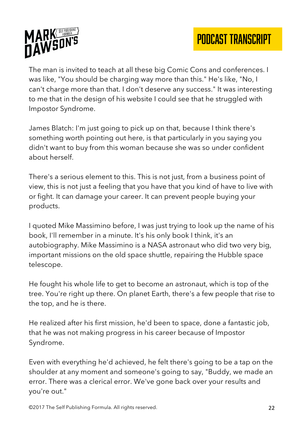



The man is invited to teach at all these big Comic Cons and conferences. I was like, "You should be charging way more than this." He's like, "No, I can't charge more than that. I don't deserve any success." It was interesting to me that in the design of his website I could see that he struggled with Impostor Syndrome.

James Blatch: I'm just going to pick up on that, because I think there's something worth pointing out here, is that particularly in you saying you didn't want to buy from this woman because she was so under confident about herself.

There's a serious element to this. This is not just, from a business point of view, this is not just a feeling that you have that you kind of have to live with or fight. It can damage your career. It can prevent people buying your products.

I quoted Mike Massimino before, I was just trying to look up the name of his book, I'll remember in a minute. It's his only book I think, it's an autobiography. Mike Massimino is a NASA astronaut who did two very big, important missions on the old space shuttle, repairing the Hubble space telescope.

He fought his whole life to get to become an astronaut, which is top of the tree. You're right up there. On planet Earth, there's a few people that rise to the top, and he is there.

He realized after his first mission, he'd been to space, done a fantastic job, that he was not making progress in his career because of Impostor Syndrome.

Even with everything he'd achieved, he felt there's going to be a tap on the shoulder at any moment and someone's going to say, "Buddy, we made an error. There was a clerical error. We've gone back over your results and you're out."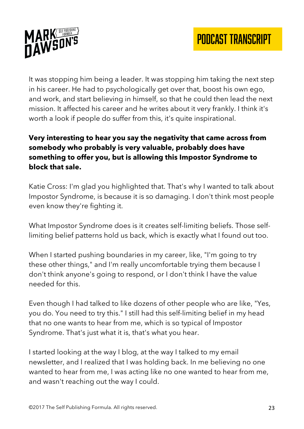

It was stopping him being a leader. It was stopping him taking the next step in his career. He had to psychologically get over that, boost his own ego, and work, and start believing in himself, so that he could then lead the next mission. It affected his career and he writes about it very frankly. I think it's worth a look if people do suffer from this, it's quite inspirational.

# **Very interesting to hear you say the negativity that came across from somebody who probably is very valuable, probably does have something to offer you, but is allowing this Impostor Syndrome to block that sale.**

Katie Cross: I'm glad you highlighted that. That's why I wanted to talk about Impostor Syndrome, is because it is so damaging. I don't think most people even know they're fighting it.

What Impostor Syndrome does is it creates self-limiting beliefs. Those selflimiting belief patterns hold us back, which is exactly what I found out too.

When I started pushing boundaries in my career, like, "I'm going to try these other things," and I'm really uncomfortable trying them because I don't think anyone's going to respond, or I don't think I have the value needed for this.

Even though I had talked to like dozens of other people who are like, "Yes, you do. You need to try this." I still had this self-limiting belief in my head that no one wants to hear from me, which is so typical of Impostor Syndrome. That's just what it is, that's what you hear.

I started looking at the way I blog, at the way I talked to my email newsletter, and I realized that I was holding back. In me believing no one wanted to hear from me, I was acting like no one wanted to hear from me, and wasn't reaching out the way I could.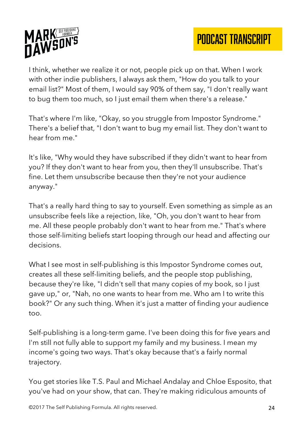

I think, whether we realize it or not, people pick up on that. When I work with other indie publishers, I always ask them, "How do you talk to your email list?" Most of them, I would say 90% of them say, "I don't really want to bug them too much, so I just email them when there's a release."

That's where I'm like, "Okay, so you struggle from Impostor Syndrome." There's a belief that, "I don't want to bug my email list. They don't want to hear from me."

It's like, "Why would they have subscribed if they didn't want to hear from you? If they don't want to hear from you, then they'll unsubscribe. That's fine. Let them unsubscribe because then they're not your audience anyway."

That's a really hard thing to say to yourself. Even something as simple as an unsubscribe feels like a rejection, like, "Oh, you don't want to hear from me. All these people probably don't want to hear from me." That's where those self-limiting beliefs start looping through our head and affecting our decisions.

What I see most in self-publishing is this Impostor Syndrome comes out, creates all these self-limiting beliefs, and the people stop publishing, because they're like, "I didn't sell that many copies of my book, so I just gave up," or, "Nah, no one wants to hear from me. Who am I to write this book?" Or any such thing. When it's just a matter of finding your audience too.

Self-publishing is a long-term game. I've been doing this for five years and I'm still not fully able to support my family and my business. I mean my income's going two ways. That's okay because that's a fairly normal trajectory.

You get stories like T.S. Paul and Michael Andalay and Chloe Esposito, that you've had on your show, that can. They're making ridiculous amounts of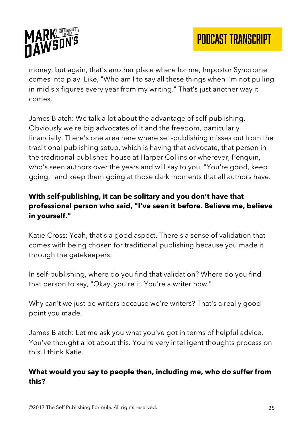

money, but again, that's another place where for me, Impostor Syndrome comes into play. Like, "Who am I to say all these things when I'm not pulling in mid six figures every year from my writing." That's just another way it comes.

James Blatch: We talk a lot about the advantage of self-publishing. Obviously we're big advocates of it and the freedom, particularly financially. There's one area here where self-publishing misses out from the traditional publishing setup, which is having that advocate, that person in the traditional published house at Harper Collins or wherever, Penguin, who's seen authors over the years and will say to you, "You're good, keep going," and keep them going at those dark moments that all authors have.

# **With self-publishing, it can be solitary and you don't have that professional person who said, "I've seen it before. Believe me, believe in yourself."**

Katie Cross: Yeah, that's a good aspect. There's a sense of validation that comes with being chosen for traditional publishing because you made it through the gatekeepers.

In self-publishing, where do you find that validation? Where do you find that person to say, "Okay, you're it. You're a writer now."

Why can't we just be writers because we're writers? That's a really good point you made.

James Blatch: Let me ask you what you've got in terms of helpful advice. You've thought a lot about this. You're very intelligent thoughts process on this, I think Katie.

### **What would you say to people then, including me, who do suffer from this?**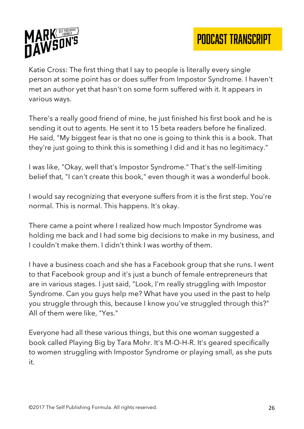

Katie Cross: The first thing that I say to people is literally every single person at some point has or does suffer from Impostor Syndrome. I haven't met an author yet that hasn't on some form suffered with it. It appears in various ways.

There's a really good friend of mine, he just finished his first book and he is sending it out to agents. He sent it to 15 beta readers before he finalized. He said, "My biggest fear is that no one is going to think this is a book. That they're just going to think this is something I did and it has no legitimacy."

I was like, "Okay, well that's Impostor Syndrome." That's the self-limiting belief that, "I can't create this book," even though it was a wonderful book.

I would say recognizing that everyone suffers from it is the first step. You're normal. This is normal. This happens. It's okay.

There came a point where I realized how much Impostor Syndrome was holding me back and I had some big decisions to make in my business, and I couldn't make them. I didn't think I was worthy of them.

I have a business coach and she has a Facebook group that she runs. I went to that Facebook group and it's just a bunch of female entrepreneurs that are in various stages. I just said, "Look, I'm really struggling with Impostor Syndrome. Can you guys help me? What have you used in the past to help you struggle through this, because I know you've struggled through this?" All of them were like, "Yes."

Everyone had all these various things, but this one woman suggested a book called Playing Big by Tara Mohr. It's M-O-H-R. It's geared specifically to women struggling with Impostor Syndrome or playing small, as she puts it.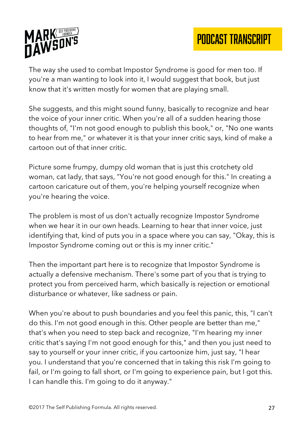

The way she used to combat Impostor Syndrome is good for men too. If you're a man wanting to look into it, I would suggest that book, but just know that it's written mostly for women that are playing small.

She suggests, and this might sound funny, basically to recognize and hear the voice of your inner critic. When you're all of a sudden hearing those thoughts of, "I'm not good enough to publish this book," or, "No one wants to hear from me," or whatever it is that your inner critic says, kind of make a cartoon out of that inner critic.

Picture some frumpy, dumpy old woman that is just this crotchety old woman, cat lady, that says, "You're not good enough for this." In creating a cartoon caricature out of them, you're helping yourself recognize when you're hearing the voice.

The problem is most of us don't actually recognize Impostor Syndrome when we hear it in our own heads. Learning to hear that inner voice, just identifying that, kind of puts you in a space where you can say, "Okay, this is Impostor Syndrome coming out or this is my inner critic."

Then the important part here is to recognize that Impostor Syndrome is actually a defensive mechanism. There's some part of you that is trying to protect you from perceived harm, which basically is rejection or emotional disturbance or whatever, like sadness or pain.

When you're about to push boundaries and you feel this panic, this, "I can't do this. I'm not good enough in this. Other people are better than me," that's when you need to step back and recognize, "I'm hearing my inner critic that's saying I'm not good enough for this," and then you just need to say to yourself or your inner critic, if you cartoonize him, just say, "I hear you. I understand that you're concerned that in taking this risk I'm going to fail, or I'm going to fall short, or I'm going to experience pain, but I got this. I can handle this. I'm going to do it anyway."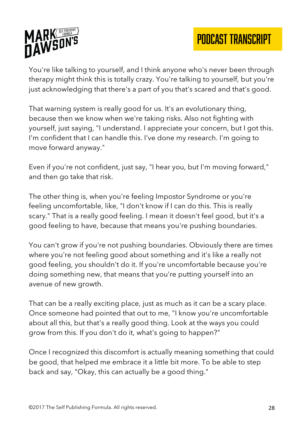



You're like talking to yourself, and I think anyone who's never been through therapy might think this is totally crazy. You're talking to yourself, but you're just acknowledging that there's a part of you that's scared and that's good.

That warning system is really good for us. It's an evolutionary thing, because then we know when we're taking risks. Also not fighting with yourself, just saying, "I understand. I appreciate your concern, but I got this. I'm confident that I can handle this. I've done my research. I'm going to move forward anyway."

Even if you're not confident, just say, "I hear you, but I'm moving forward," and then go take that risk.

The other thing is, when you're feeling Impostor Syndrome or you're feeling uncomfortable, like, "I don't know if I can do this. This is really scary." That is a really good feeling. I mean it doesn't feel good, but it's a good feeling to have, because that means you're pushing boundaries.

You can't grow if you're not pushing boundaries. Obviously there are times where you're not feeling good about something and it's like a really not good feeling, you shouldn't do it. If you're uncomfortable because you're doing something new, that means that you're putting yourself into an avenue of new growth.

That can be a really exciting place, just as much as it can be a scary place. Once someone had pointed that out to me, "I know you're uncomfortable about all this, but that's a really good thing. Look at the ways you could grow from this. If you don't do it, what's going to happen?"

Once I recognized this discomfort is actually meaning something that could be good, that helped me embrace it a little bit more. To be able to step back and say, "Okay, this can actually be a good thing."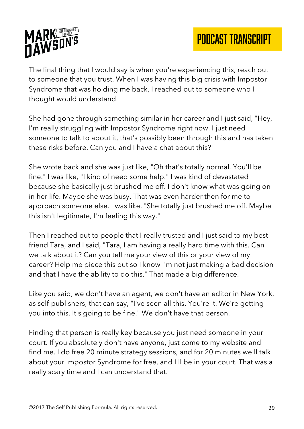

The final thing that I would say is when you're experiencing this, reach out to someone that you trust. When I was having this big crisis with Impostor Syndrome that was holding me back, I reached out to someone who I thought would understand.

She had gone through something similar in her career and I just said, "Hey, I'm really struggling with Impostor Syndrome right now. I just need someone to talk to about it, that's possibly been through this and has taken these risks before. Can you and I have a chat about this?"

She wrote back and she was just like, "Oh that's totally normal. You'll be fine." I was like, "I kind of need some help." I was kind of devastated because she basically just brushed me off. I don't know what was going on in her life. Maybe she was busy. That was even harder then for me to approach someone else. I was like, "She totally just brushed me off. Maybe this isn't legitimate, I'm feeling this way."

Then I reached out to people that I really trusted and I just said to my best friend Tara, and I said, "Tara, I am having a really hard time with this. Can we talk about it? Can you tell me your view of this or your view of my career? Help me piece this out so I know I'm not just making a bad decision and that I have the ability to do this." That made a big difference.

Like you said, we don't have an agent, we don't have an editor in New York, as self-publishers, that can say, "I've seen all this. You're it. We're getting you into this. It's going to be fine." We don't have that person.

Finding that person is really key because you just need someone in your court. If you absolutely don't have anyone, just come to my website and find me. I do free 20 minute strategy sessions, and for 20 minutes we'll talk about your Impostor Syndrome for free, and I'll be in your court. That was a really scary time and I can understand that.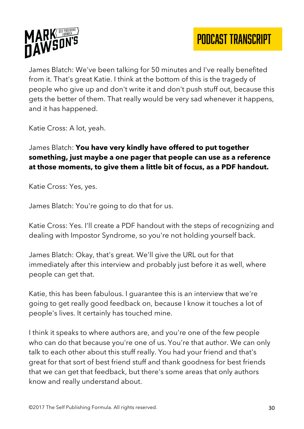

James Blatch: We've been talking for 50 minutes and I've really benefited from it. That's great Katie. I think at the bottom of this is the tragedy of people who give up and don't write it and don't push stuff out, because this gets the better of them. That really would be very sad whenever it happens, and it has happened.

Katie Cross: A lot, yeah.

## James Blatch: **You have very kindly have offered to put together something, just maybe a one pager that people can use as a reference at those moments, to give them a little bit of focus, as a PDF handout.**

Katie Cross: Yes, yes.

James Blatch: You're going to do that for us.

Katie Cross: Yes. I'll create a PDF handout with the steps of recognizing and dealing with Impostor Syndrome, so you're not holding yourself back.

James Blatch: Okay, that's great. We'll give the URL out for that immediately after this interview and probably just before it as well, where people can get that.

Katie, this has been fabulous. I guarantee this is an interview that we're going to get really good feedback on, because I know it touches a lot of people's lives. It certainly has touched mine.

I think it speaks to where authors are, and you're one of the few people who can do that because you're one of us. You're that author. We can only talk to each other about this stuff really. You had your friend and that's great for that sort of best friend stuff and thank goodness for best friends that we can get that feedback, but there's some areas that only authors know and really understand about.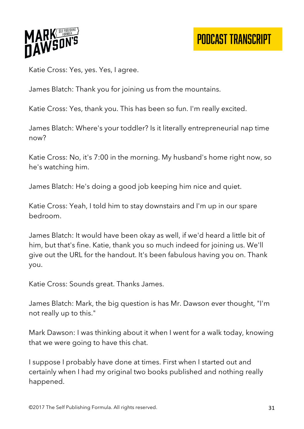

Katie Cross: Yes, yes. Yes, I agree.

James Blatch: Thank you for joining us from the mountains.

Katie Cross: Yes, thank you. This has been so fun. I'm really excited.

James Blatch: Where's your toddler? Is it literally entrepreneurial nap time now?

Katie Cross: No, it's 7:00 in the morning. My husband's home right now, so he's watching him.

James Blatch: He's doing a good job keeping him nice and quiet.

Katie Cross: Yeah, I told him to stay downstairs and I'm up in our spare bedroom.

James Blatch: It would have been okay as well, if we'd heard a little bit of him, but that's fine. Katie, thank you so much indeed for joining us. We'll give out the URL for the handout. It's been fabulous having you on. Thank you.

Katie Cross: Sounds great. Thanks James.

James Blatch: Mark, the big question is has Mr. Dawson ever thought, "I'm not really up to this."

Mark Dawson: I was thinking about it when I went for a walk today, knowing that we were going to have this chat.

I suppose I probably have done at times. First when I started out and certainly when I had my original two books published and nothing really happened.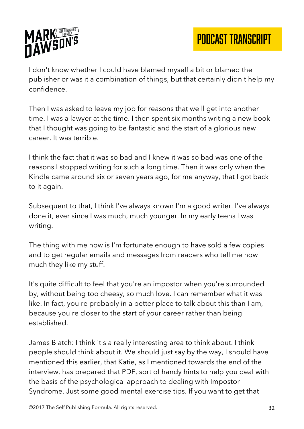

I don't know whether I could have blamed myself a bit or blamed the publisher or was it a combination of things, but that certainly didn't help my confidence.

Then I was asked to leave my job for reasons that we'll get into another time. I was a lawyer at the time. I then spent six months writing a new book that I thought was going to be fantastic and the start of a glorious new career. It was terrible.

I think the fact that it was so bad and I knew it was so bad was one of the reasons I stopped writing for such a long time. Then it was only when the Kindle came around six or seven years ago, for me anyway, that I got back to it again.

Subsequent to that, I think I've always known I'm a good writer. I've always done it, ever since I was much, much younger. In my early teens I was writing.

The thing with me now is I'm fortunate enough to have sold a few copies and to get regular emails and messages from readers who tell me how much they like my stuff.

It's quite difficult to feel that you're an impostor when you're surrounded by, without being too cheesy, so much love. I can remember what it was like. In fact, you're probably in a better place to talk about this than I am, because you're closer to the start of your career rather than being established.

James Blatch: I think it's a really interesting area to think about. I think people should think about it. We should just say by the way, I should have mentioned this earlier, that Katie, as I mentioned towards the end of the interview, has prepared that PDF, sort of handy hints to help you deal with the basis of the psychological approach to dealing with Impostor Syndrome. Just some good mental exercise tips. If you want to get that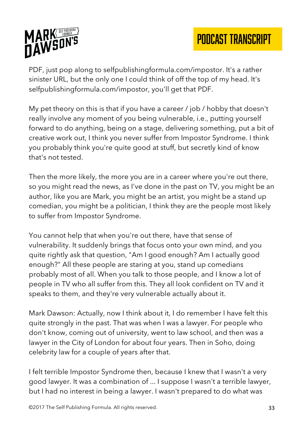

PDF, just pop along to selfpublishingformula.com/impostor. It's a rather sinister URL, but the only one I could think of off the top of my head. It's selfpublishingformula.com/impostor, you'll get that PDF.

My pet theory on this is that if you have a career / job / hobby that doesn't really involve any moment of you being vulnerable, i.e., putting yourself forward to do anything, being on a stage, delivering something, put a bit of creative work out, I think you never suffer from Impostor Syndrome. I think you probably think you're quite good at stuff, but secretly kind of know that's not tested.

Then the more likely, the more you are in a career where you're out there, so you might read the news, as I've done in the past on TV, you might be an author, like you are Mark, you might be an artist, you might be a stand up comedian, you might be a politician, I think they are the people most likely to suffer from Impostor Syndrome.

You cannot help that when you're out there, have that sense of vulnerability. It suddenly brings that focus onto your own mind, and you quite rightly ask that question, "Am I good enough? Am I actually good enough?" All these people are staring at you, stand up comedians probably most of all. When you talk to those people, and I know a lot of people in TV who all suffer from this. They all look confident on TV and it speaks to them, and they're very vulnerable actually about it.

Mark Dawson: Actually, now I think about it, I do remember I have felt this quite strongly in the past. That was when I was a lawyer. For people who don't know, coming out of university, went to law school, and then was a lawyer in the City of London for about four years. Then in Soho, doing celebrity law for a couple of years after that.

I felt terrible Impostor Syndrome then, because I knew that I wasn't a very good lawyer. It was a combination of ... I suppose I wasn't a terrible lawyer, but I had no interest in being a lawyer. I wasn't prepared to do what was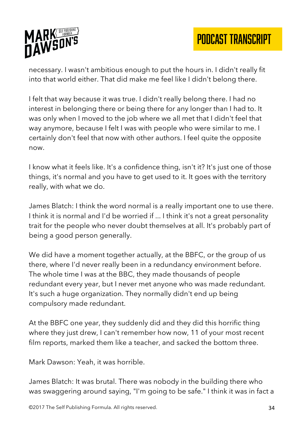

necessary. I wasn't ambitious enough to put the hours in. I didn't really fit into that world either. That did make me feel like I didn't belong there.

I felt that way because it was true. I didn't really belong there. I had no interest in belonging there or being there for any longer than I had to. It was only when I moved to the job where we all met that I didn't feel that way anymore, because I felt I was with people who were similar to me. I certainly don't feel that now with other authors. I feel quite the opposite now.

I know what it feels like. It's a confidence thing, isn't it? It's just one of those things, it's normal and you have to get used to it. It goes with the territory really, with what we do.

James Blatch: I think the word normal is a really important one to use there. I think it is normal and I'd be worried if ... I think it's not a great personality trait for the people who never doubt themselves at all. It's probably part of being a good person generally.

We did have a moment together actually, at the BBFC, or the group of us there, where I'd never really been in a redundancy environment before. The whole time I was at the BBC, they made thousands of people redundant every year, but I never met anyone who was made redundant. It's such a huge organization. They normally didn't end up being compulsory made redundant.

At the BBFC one year, they suddenly did and they did this horrific thing where they just drew, I can't remember how now, 11 of your most recent film reports, marked them like a teacher, and sacked the bottom three.

Mark Dawson: Yeah, it was horrible.

James Blatch: It was brutal. There was nobody in the building there who was swaggering around saying, "I'm going to be safe." I think it was in fact a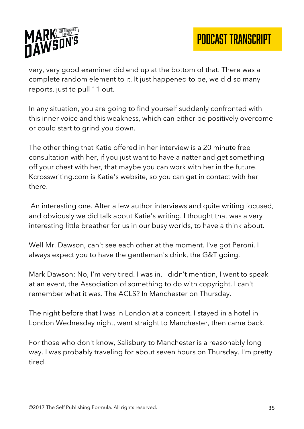

very, very good examiner did end up at the bottom of that. There was a complete random element to it. It just happened to be, we did so many reports, just to pull 11 out.

In any situation, you are going to find yourself suddenly confronted with this inner voice and this weakness, which can either be positively overcome or could start to grind you down.

The other thing that Katie offered in her interview is a 20 minute free consultation with her, if you just want to have a natter and get something off your chest with her, that maybe you can work with her in the future. Kcrosswriting.com is Katie's website, so you can get in contact with her there.

An interesting one. After a few author interviews and quite writing focused, and obviously we did talk about Katie's writing. I thought that was a very interesting little breather for us in our busy worlds, to have a think about.

Well Mr. Dawson, can't see each other at the moment. I've got Peroni. I always expect you to have the gentleman's drink, the G&T going.

Mark Dawson: No, I'm very tired. I was in, I didn't mention, I went to speak at an event, the Association of something to do with copyright. I can't remember what it was. The ACLS? In Manchester on Thursday.

The night before that I was in London at a concert. I stayed in a hotel in London Wednesday night, went straight to Manchester, then came back.

For those who don't know, Salisbury to Manchester is a reasonably long way. I was probably traveling for about seven hours on Thursday. I'm pretty tired.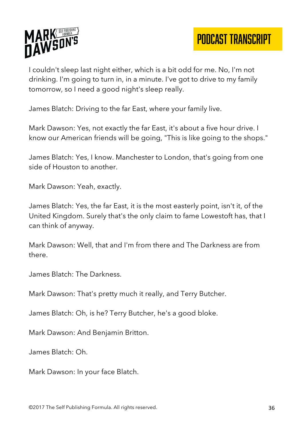



I couldn't sleep last night either, which is a bit odd for me. No, I'm not drinking. I'm going to turn in, in a minute. I've got to drive to my family tomorrow, so I need a good night's sleep really.

James Blatch: Driving to the far East, where your family live.

Mark Dawson: Yes, not exactly the far East, it's about a five hour drive. I know our American friends will be going, "This is like going to the shops."

James Blatch: Yes, I know. Manchester to London, that's going from one side of Houston to another.

Mark Dawson: Yeah, exactly.

James Blatch: Yes, the far East, it is the most easterly point, isn't it, of the United Kingdom. Surely that's the only claim to fame Lowestoft has, that I can think of anyway.

Mark Dawson: Well, that and I'm from there and The Darkness are from there.

James Blatch: The Darkness.

Mark Dawson: That's pretty much it really, and Terry Butcher.

James Blatch: Oh, is he? Terry Butcher, he's a good bloke.

Mark Dawson: And Benjamin Britton.

James Blatch: Oh.

Mark Dawson: In your face Blatch.